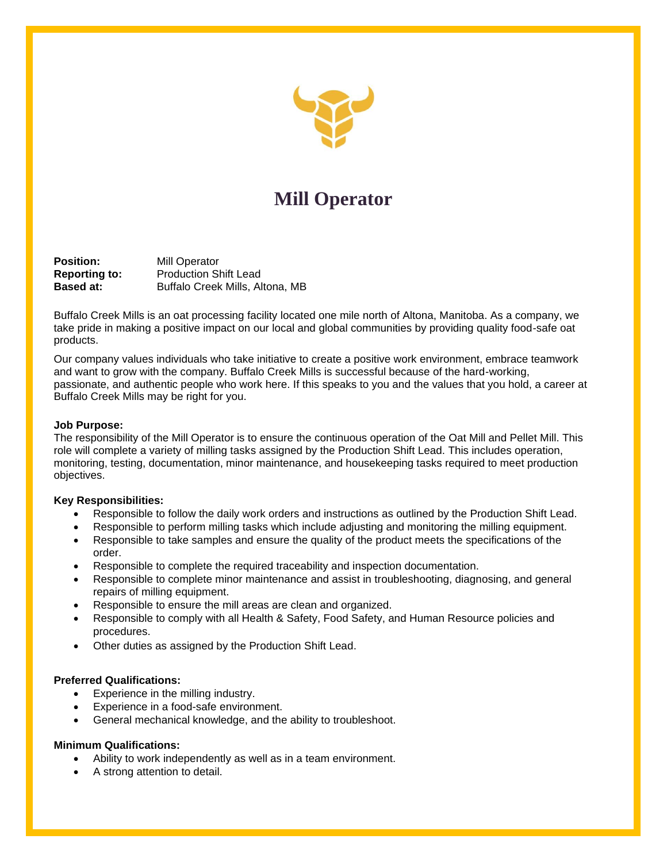

# **Mill Operator**

**Position:** Mill Operator **Reporting to:** Production Shift Lead **Based at:** Buffalo Creek Mills, Altona, MB

Buffalo Creek Mills is an oat processing facility located one mile north of Altona, Manitoba. As a company, we take pride in making a positive impact on our local and global communities by providing quality food-safe oat products.

Our company values individuals who take initiative to create a positive work environment, embrace teamwork and want to grow with the company. Buffalo Creek Mills is successful because of the hard-working, passionate, and authentic people who work here. If this speaks to you and the values that you hold, a career at Buffalo Creek Mills may be right for you.

## **Job Purpose:**

The responsibility of the Mill Operator is to ensure the continuous operation of the Oat Mill and Pellet Mill. This role will complete a variety of milling tasks assigned by the Production Shift Lead. This includes operation, monitoring, testing, documentation, minor maintenance, and housekeeping tasks required to meet production objectives.

#### **Key Responsibilities:**

- Responsible to follow the daily work orders and instructions as outlined by the Production Shift Lead.
- Responsible to perform milling tasks which include adjusting and monitoring the milling equipment.
- Responsible to take samples and ensure the quality of the product meets the specifications of the order.
- Responsible to complete the required traceability and inspection documentation.
- Responsible to complete minor maintenance and assist in troubleshooting, diagnosing, and general repairs of milling equipment.
- Responsible to ensure the mill areas are clean and organized.
- Responsible to comply with all Health & Safety, Food Safety, and Human Resource policies and procedures.
- Other duties as assigned by the Production Shift Lead.

#### **Preferred Qualifications:**

- Experience in the milling industry.
- Experience in a food-safe environment.
- General mechanical knowledge, and the ability to troubleshoot.

#### **Minimum Qualifications:**

- Ability to work independently as well as in a team environment.
- A strong attention to detail.